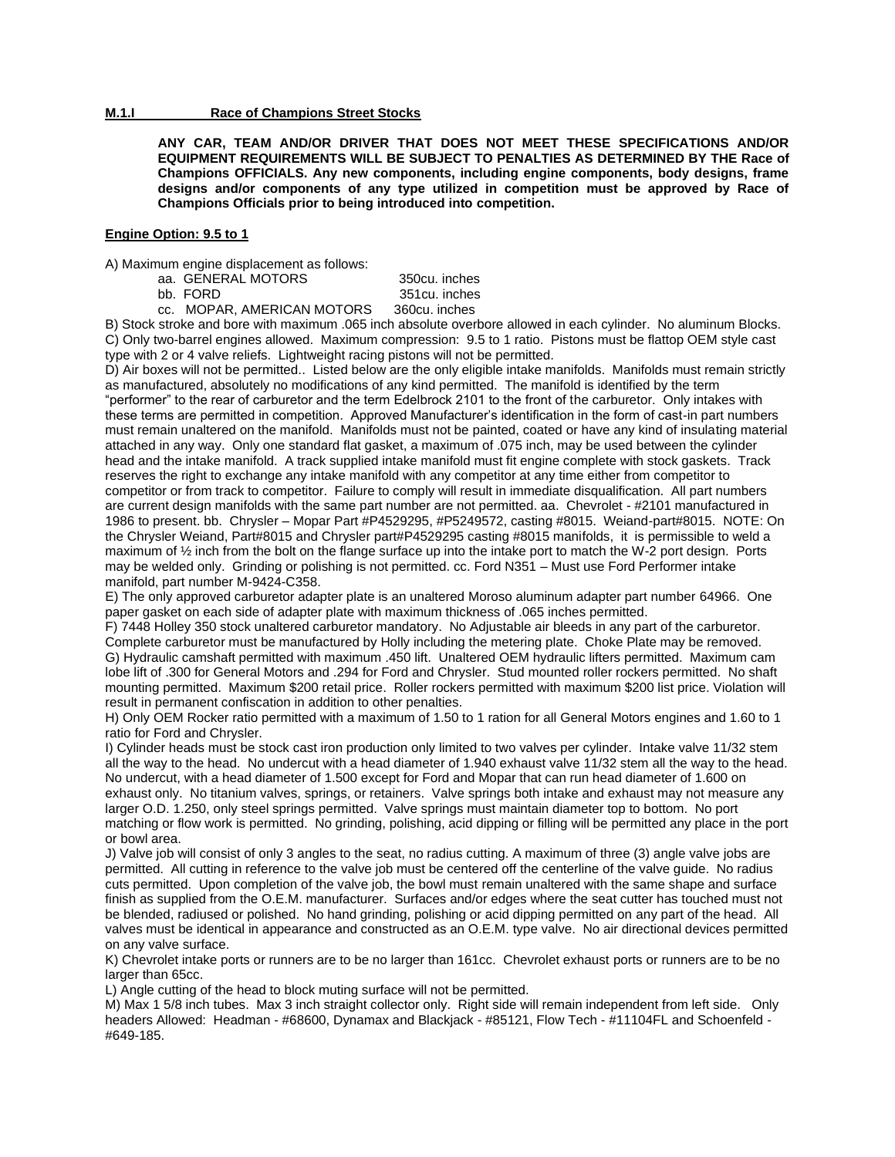# **M.1.I Race of Champions Street Stocks**

**ANY CAR, TEAM AND/OR DRIVER THAT DOES NOT MEET THESE SPECIFICATIONS AND/OR EQUIPMENT REQUIREMENTS WILL BE SUBJECT TO PENALTIES AS DETERMINED BY THE Race of Champions OFFICIALS. Any new components, including engine components, body designs, frame designs and/or components of any type utilized in competition must be approved by Race of Champions Officials prior to being introduced into competition.**

#### **Engine Option: 9.5 to 1**

A) Maximum engine displacement as follows:

aa. GENERAL MOTORS 350cu. inches

bb. FORD 351cu. inches

cc. MOPAR, AMERICAN MOTORS 360cu. inches B) Stock stroke and bore with maximum .065 inch absolute overbore allowed in each cylinder. No aluminum Blocks. C) Only two-barrel engines allowed. Maximum compression: 9.5 to 1 ratio. Pistons must be flattop OEM style cast type with 2 or 4 valve reliefs. Lightweight racing pistons will not be permitted.

D) Air boxes will not be permitted.. Listed below are the only eligible intake manifolds. Manifolds must remain strictly as manufactured, absolutely no modifications of any kind permitted. The manifold is identified by the term "performer" to the rear of carburetor and the term Edelbrock 2101 to the front of the carburetor. Only intakes with these terms are permitted in competition. Approved Manufacturer's identification in the form of cast-in part numbers must remain unaltered on the manifold. Manifolds must not be painted, coated or have any kind of insulating material attached in any way. Only one standard flat gasket, a maximum of .075 inch, may be used between the cylinder head and the intake manifold. A track supplied intake manifold must fit engine complete with stock gaskets. Track reserves the right to exchange any intake manifold with any competitor at any time either from competitor to competitor or from track to competitor. Failure to comply will result in immediate disqualification. All part numbers are current design manifolds with the same part number are not permitted. aa. Chevrolet - #2101 manufactured in 1986 to present. bb. Chrysler – Mopar Part #P4529295, #P5249572, casting #8015. Weiand-part#8015. NOTE: On the Chrysler Weiand, Part#8015 and Chrysler part#P4529295 casting #8015 manifolds, it is permissible to weld a maximum of ½ inch from the bolt on the flange surface up into the intake port to match the W-2 port design. Ports may be welded only. Grinding or polishing is not permitted. cc. Ford N351 – Must use Ford Performer intake manifold, part number M-9424-C358.

E) The only approved carburetor adapter plate is an unaltered Moroso aluminum adapter part number 64966. One paper gasket on each side of adapter plate with maximum thickness of .065 inches permitted.

F) 7448 Holley 350 stock unaltered carburetor mandatory. No Adjustable air bleeds in any part of the carburetor. Complete carburetor must be manufactured by Holly including the metering plate. Choke Plate may be removed. G) Hydraulic camshaft permitted with maximum .450 lift. Unaltered OEM hydraulic lifters permitted. Maximum cam lobe lift of .300 for General Motors and .294 for Ford and Chrysler. Stud mounted roller rockers permitted. No shaft mounting permitted. Maximum \$200 retail price. Roller rockers permitted with maximum \$200 list price. Violation will result in permanent confiscation in addition to other penalties.

H) Only OEM Rocker ratio permitted with a maximum of 1.50 to 1 ration for all General Motors engines and 1.60 to 1 ratio for Ford and Chrysler.

I) Cylinder heads must be stock cast iron production only limited to two valves per cylinder. Intake valve 11/32 stem all the way to the head. No undercut with a head diameter of 1.940 exhaust valve 11/32 stem all the way to the head. No undercut, with a head diameter of 1.500 except for Ford and Mopar that can run head diameter of 1.600 on exhaust only. No titanium valves, springs, or retainers. Valve springs both intake and exhaust may not measure any larger O.D. 1.250, only steel springs permitted. Valve springs must maintain diameter top to bottom. No port matching or flow work is permitted. No grinding, polishing, acid dipping or filling will be permitted any place in the port or bowl area.

J) Valve job will consist of only 3 angles to the seat, no radius cutting. A maximum of three (3) angle valve jobs are permitted. All cutting in reference to the valve job must be centered off the centerline of the valve guide. No radius cuts permitted. Upon completion of the valve job, the bowl must remain unaltered with the same shape and surface finish as supplied from the O.E.M. manufacturer. Surfaces and/or edges where the seat cutter has touched must not be blended, radiused or polished. No hand grinding, polishing or acid dipping permitted on any part of the head. All valves must be identical in appearance and constructed as an O.E.M. type valve. No air directional devices permitted on any valve surface.

K) Chevrolet intake ports or runners are to be no larger than 161cc. Chevrolet exhaust ports or runners are to be no larger than 65cc.

L) Angle cutting of the head to block muting surface will not be permitted.

M) Max 1 5/8 inch tubes. Max 3 inch straight collector only. Right side will remain independent from left side. Only headers Allowed: Headman - #68600, Dynamax and Blackjack - #85121, Flow Tech - #11104FL and Schoenfeld -#649-185.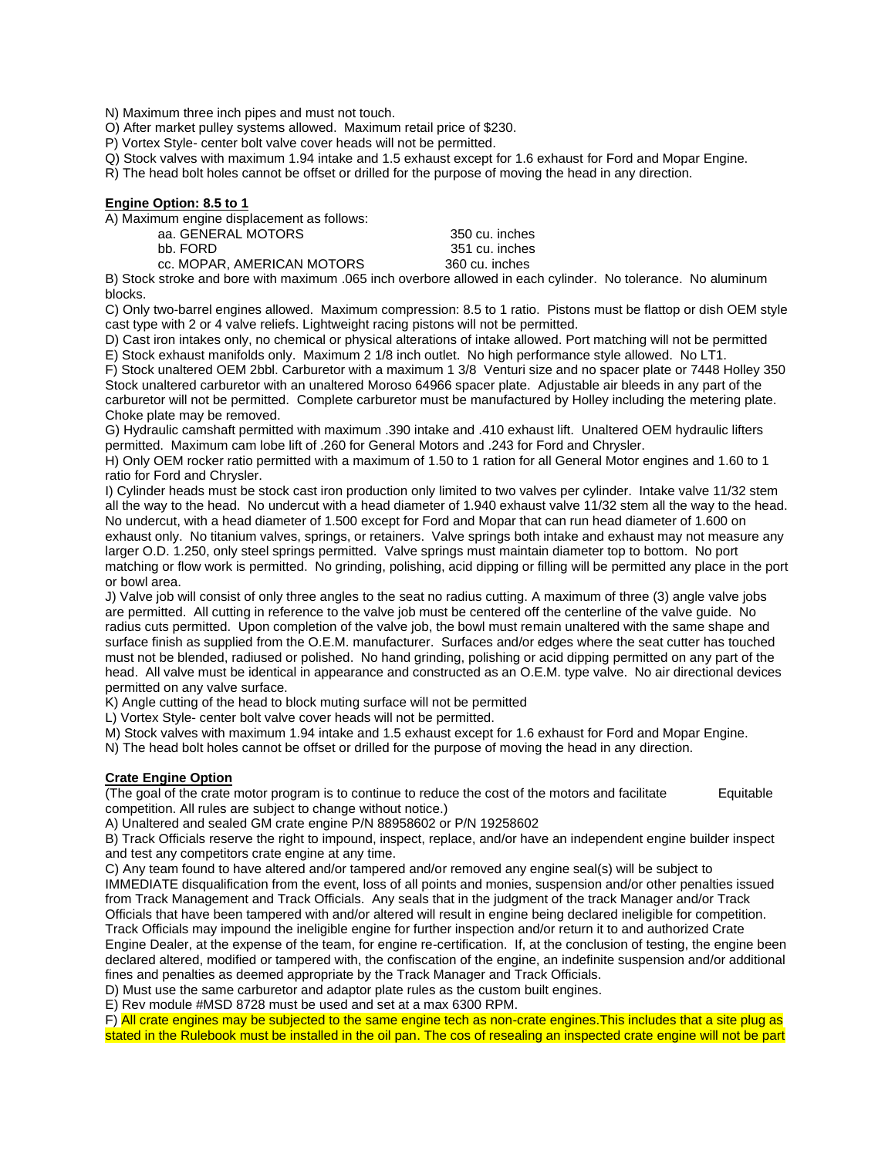N) Maximum three inch pipes and must not touch.

O) After market pulley systems allowed. Maximum retail price of \$230.

P) Vortex Style- center bolt valve cover heads will not be permitted.

Q) Stock valves with maximum 1.94 intake and 1.5 exhaust except for 1.6 exhaust for Ford and Mopar Engine.

R) The head bolt holes cannot be offset or drilled for the purpose of moving the head in any direction.

## **Engine Option: 8.5 to 1**

A) Maximum engine displacement as follows:

| .<br>aa. GENERAL MOTORS                                            | 350 cu. inches |
|--------------------------------------------------------------------|----------------|
| bb. FORD                                                           | 351 cu. inches |
| cc. MOPAR, AMERICAN MOTORS                                         | 360 cu. inches |
| ik atraka and bara with mayimum. OCE inah ayarbara allawad in aqab |                |

B) Stock stroke and bore with maximum .065 inch overbore allowed in each cylinder. No tolerance. No aluminum blocks.

C) Only two-barrel engines allowed. Maximum compression: 8.5 to 1 ratio. Pistons must be flattop or dish OEM style cast type with 2 or 4 valve reliefs. Lightweight racing pistons will not be permitted.

D) Cast iron intakes only, no chemical or physical alterations of intake allowed. Port matching will not be permitted E) Stock exhaust manifolds only. Maximum 2 1/8 inch outlet. No high performance style allowed. No LT1.

F) Stock unaltered OEM 2bbl. Carburetor with a maximum 1 3/8 Venturi size and no spacer plate or 7448 Holley 350 Stock unaltered carburetor with an unaltered Moroso 64966 spacer plate. Adjustable air bleeds in any part of the carburetor will not be permitted. Complete carburetor must be manufactured by Holley including the metering plate. Choke plate may be removed.

G) Hydraulic camshaft permitted with maximum .390 intake and .410 exhaust lift. Unaltered OEM hydraulic lifters permitted. Maximum cam lobe lift of .260 for General Motors and .243 for Ford and Chrysler.

H) Only OEM rocker ratio permitted with a maximum of 1.50 to 1 ration for all General Motor engines and 1.60 to 1 ratio for Ford and Chrysler.

I) Cylinder heads must be stock cast iron production only limited to two valves per cylinder. Intake valve 11/32 stem all the way to the head. No undercut with a head diameter of 1.940 exhaust valve 11/32 stem all the way to the head. No undercut, with a head diameter of 1.500 except for Ford and Mopar that can run head diameter of 1.600 on exhaust only. No titanium valves, springs, or retainers. Valve springs both intake and exhaust may not measure any larger O.D. 1.250, only steel springs permitted. Valve springs must maintain diameter top to bottom. No port matching or flow work is permitted. No grinding, polishing, acid dipping or filling will be permitted any place in the port or bowl area.

J) Valve job will consist of only three angles to the seat no radius cutting. A maximum of three (3) angle valve jobs are permitted. All cutting in reference to the valve job must be centered off the centerline of the valve guide. No radius cuts permitted. Upon completion of the valve job, the bowl must remain unaltered with the same shape and surface finish as supplied from the O.E.M. manufacturer. Surfaces and/or edges where the seat cutter has touched must not be blended, radiused or polished. No hand grinding, polishing or acid dipping permitted on any part of the head. All valve must be identical in appearance and constructed as an O.E.M. type valve. No air directional devices permitted on any valve surface.

K) Angle cutting of the head to block muting surface will not be permitted

L) Vortex Style- center bolt valve cover heads will not be permitted.

M) Stock valves with maximum 1.94 intake and 1.5 exhaust except for 1.6 exhaust for Ford and Mopar Engine.

N) The head bolt holes cannot be offset or drilled for the purpose of moving the head in any direction.

## **Crate Engine Option**

(The goal of the crate motor program is to continue to reduce the cost of the motors and facilitate Equitable competition. All rules are subject to change without notice.)

A) Unaltered and sealed GM crate engine P/N 88958602 or P/N 19258602

B) Track Officials reserve the right to impound, inspect, replace, and/or have an independent engine builder inspect and test any competitors crate engine at any time.

C) Any team found to have altered and/or tampered and/or removed any engine seal(s) will be subject to IMMEDIATE disqualification from the event, loss of all points and monies, suspension and/or other penalties issued from Track Management and Track Officials. Any seals that in the judgment of the track Manager and/or Track Officials that have been tampered with and/or altered will result in engine being declared ineligible for competition. Track Officials may impound the ineligible engine for further inspection and/or return it to and authorized Crate

Engine Dealer, at the expense of the team, for engine re-certification. If, at the conclusion of testing, the engine been declared altered, modified or tampered with, the confiscation of the engine, an indefinite suspension and/or additional fines and penalties as deemed appropriate by the Track Manager and Track Officials.

D) Must use the same carburetor and adaptor plate rules as the custom built engines.

E) Rev module #MSD 8728 must be used and set at a max 6300 RPM.

F) All crate engines may be subjected to the same engine tech as non-crate engines.This includes that a site plug as stated in the Rulebook must be installed in the oil pan. The cos of resealing an inspected crate engine will not be part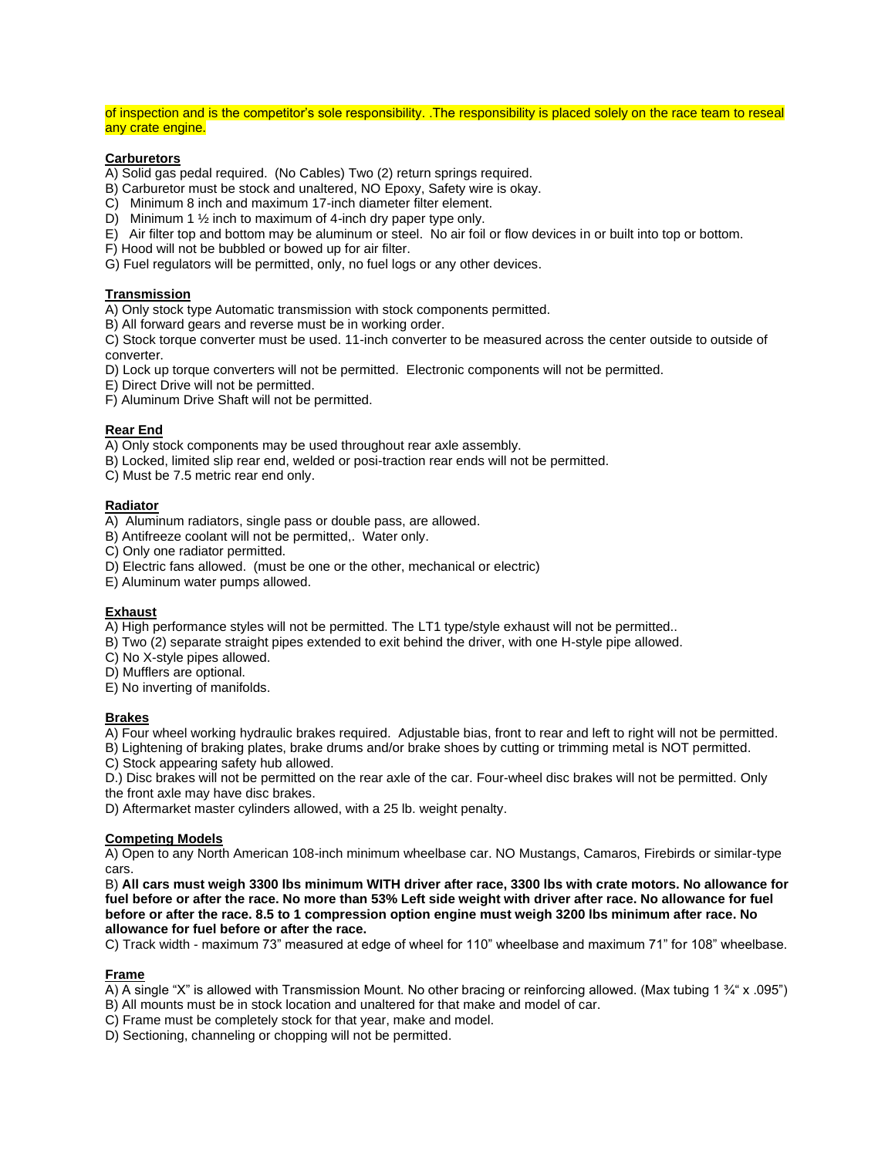of inspection and is the competitor's sole responsibility. .The responsibility is placed solely on the race team to reseal any crate engine.

## **Carburetors**

A) Solid gas pedal required. (No Cables) Two (2) return springs required.

B) Carburetor must be stock and unaltered, NO Epoxy, Safety wire is okay.

C) Minimum 8 inch and maximum 17-inch diameter filter element.

D) Minimum 1 ½ inch to maximum of 4-inch dry paper type only.

E) Air filter top and bottom may be aluminum or steel. No air foil or flow devices in or built into top or bottom.

F) Hood will not be bubbled or bowed up for air filter.

G) Fuel regulators will be permitted, only, no fuel logs or any other devices.

# **Transmission**

A) Only stock type Automatic transmission with stock components permitted.

B) All forward gears and reverse must be in working order.

C) Stock torque converter must be used. 11-inch converter to be measured across the center outside to outside of converter.

D) Lock up torque converters will not be permitted. Electronic components will not be permitted.

E) Direct Drive will not be permitted.

F) Aluminum Drive Shaft will not be permitted.

## **Rear End**

A) Only stock components may be used throughout rear axle assembly.

B) Locked, limited slip rear end, welded or posi-traction rear ends will not be permitted.

C) Must be 7.5 metric rear end only.

# **Radiator**

A) Aluminum radiators, single pass or double pass, are allowed.

B) Antifreeze coolant will not be permitted,. Water only.

C) Only one radiator permitted.

D) Electric fans allowed. (must be one or the other, mechanical or electric)

E) Aluminum water pumps allowed.

## **Exhaust**

A) High performance styles will not be permitted. The LT1 type/style exhaust will not be permitted..

B) Two (2) separate straight pipes extended to exit behind the driver, with one H-style pipe allowed.

C) No X-style pipes allowed.

D) Mufflers are optional.

E) No inverting of manifolds.

#### **Brakes**

A) Four wheel working hydraulic brakes required. Adjustable bias, front to rear and left to right will not be permitted.

B) Lightening of braking plates, brake drums and/or brake shoes by cutting or trimming metal is NOT permitted.

C) Stock appearing safety hub allowed.

D.) Disc brakes will not be permitted on the rear axle of the car. Four-wheel disc brakes will not be permitted. Only

the front axle may have disc brakes.

D) Aftermarket master cylinders allowed, with a 25 lb. weight penalty.

#### **Competing Models**

A) Open to any North American 108-inch minimum wheelbase car. NO Mustangs, Camaros, Firebirds or similar-type cars.

B) **All cars must weigh 3300 lbs minimum WITH driver after race, 3300 lbs with crate motors. No allowance for fuel before or after the race. No more than 53% Left side weight with driver after race. No allowance for fuel before or after the race. 8.5 to 1 compression option engine must weigh 3200 lbs minimum after race. No allowance for fuel before or after the race.**

C) Track width - maximum 73" measured at edge of wheel for 110" wheelbase and maximum 71" for 108" wheelbase.

#### **Frame**

- A) A single "X" is allowed with Transmission Mount. No other bracing or reinforcing allowed. (Max tubing 1  $\frac{3}{4}$ " x .095")
- B) All mounts must be in stock location and unaltered for that make and model of car.
- C) Frame must be completely stock for that year, make and model.
- D) Sectioning, channeling or chopping will not be permitted.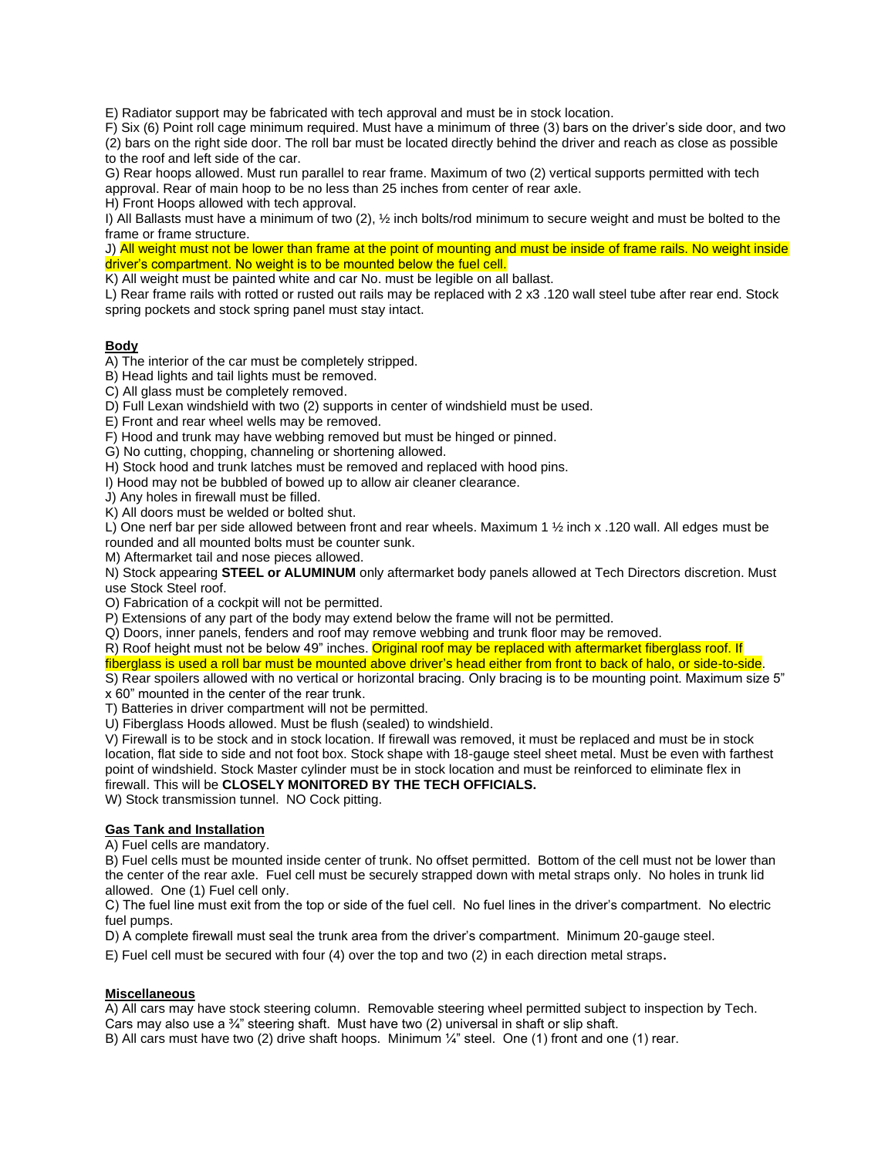E) Radiator support may be fabricated with tech approval and must be in stock location.

F) Six (6) Point roll cage minimum required. Must have a minimum of three (3) bars on the driver's side door, and two

(2) bars on the right side door. The roll bar must be located directly behind the driver and reach as close as possible to the roof and left side of the car.

G) Rear hoops allowed. Must run parallel to rear frame. Maximum of two (2) vertical supports permitted with tech approval. Rear of main hoop to be no less than 25 inches from center of rear axle.

H) Front Hoops allowed with tech approval.

I) All Ballasts must have a minimum of two (2), ½ inch bolts/rod minimum to secure weight and must be bolted to the frame or frame structure.

J) All weight must not be lower than frame at the point of mounting and must be inside of frame rails. No weight inside driver's compartment. No weight is to be mounted below the fuel cell.

K) All weight must be painted white and car No. must be legible on all ballast.

L) Rear frame rails with rotted or rusted out rails may be replaced with 2 x3 .120 wall steel tube after rear end. Stock spring pockets and stock spring panel must stay intact.

# **Body**

A) The interior of the car must be completely stripped.

B) Head lights and tail lights must be removed.

C) All glass must be completely removed.

D) Full Lexan windshield with two (2) supports in center of windshield must be used.

E) Front and rear wheel wells may be removed.

F) Hood and trunk may have webbing removed but must be hinged or pinned.

G) No cutting, chopping, channeling or shortening allowed.

H) Stock hood and trunk latches must be removed and replaced with hood pins.

I) Hood may not be bubbled of bowed up to allow air cleaner clearance.

J) Any holes in firewall must be filled.

K) All doors must be welded or bolted shut.

L) One nerf bar per side allowed between front and rear wheels. Maximum 1 1/2 inch x .120 wall. All edges must be rounded and all mounted bolts must be counter sunk.

M) Aftermarket tail and nose pieces allowed.

N) Stock appearing **STEEL or ALUMINUM** only aftermarket body panels allowed at Tech Directors discretion. Must use Stock Steel roof.

O) Fabrication of a cockpit will not be permitted.

P) Extensions of any part of the body may extend below the frame will not be permitted.

Q) Doors, inner panels, fenders and roof may remove webbing and trunk floor may be removed.

R) Roof height must not be below 49" inches. Original roof may be replaced with aftermarket fiberglass roof. If

fiberglass is used a roll bar must be mounted above driver's head either from front to back of halo, or side-to-side.

S) Rear spoilers allowed with no vertical or horizontal bracing. Only bracing is to be mounting point. Maximum size 5" x 60" mounted in the center of the rear trunk.

T) Batteries in driver compartment will not be permitted.

U) Fiberglass Hoods allowed. Must be flush (sealed) to windshield.

V) Firewall is to be stock and in stock location. If firewall was removed, it must be replaced and must be in stock location, flat side to side and not foot box. Stock shape with 18-gauge steel sheet metal. Must be even with farthest point of windshield. Stock Master cylinder must be in stock location and must be reinforced to eliminate flex in firewall. This will be **CLOSELY MONITORED BY THE TECH OFFICIALS.**

W) Stock transmission tunnel. NO Cock pitting.

# **Gas Tank and Installation**

A) Fuel cells are mandatory.

B) Fuel cells must be mounted inside center of trunk. No offset permitted. Bottom of the cell must not be lower than the center of the rear axle. Fuel cell must be securely strapped down with metal straps only. No holes in trunk lid allowed. One (1) Fuel cell only.

C) The fuel line must exit from the top or side of the fuel cell. No fuel lines in the driver's compartment. No electric fuel pumps.

D) A complete firewall must seal the trunk area from the driver's compartment. Minimum 20-gauge steel.

E) Fuel cell must be secured with four (4) over the top and two (2) in each direction metal straps.

## **Miscellaneous**

A) All cars may have stock steering column. Removable steering wheel permitted subject to inspection by Tech. Cars may also use a ¾" steering shaft. Must have two (2) universal in shaft or slip shaft.

B) All cars must have two (2) drive shaft hoops. Minimum 1/4" steel. One (1) front and one (1) rear.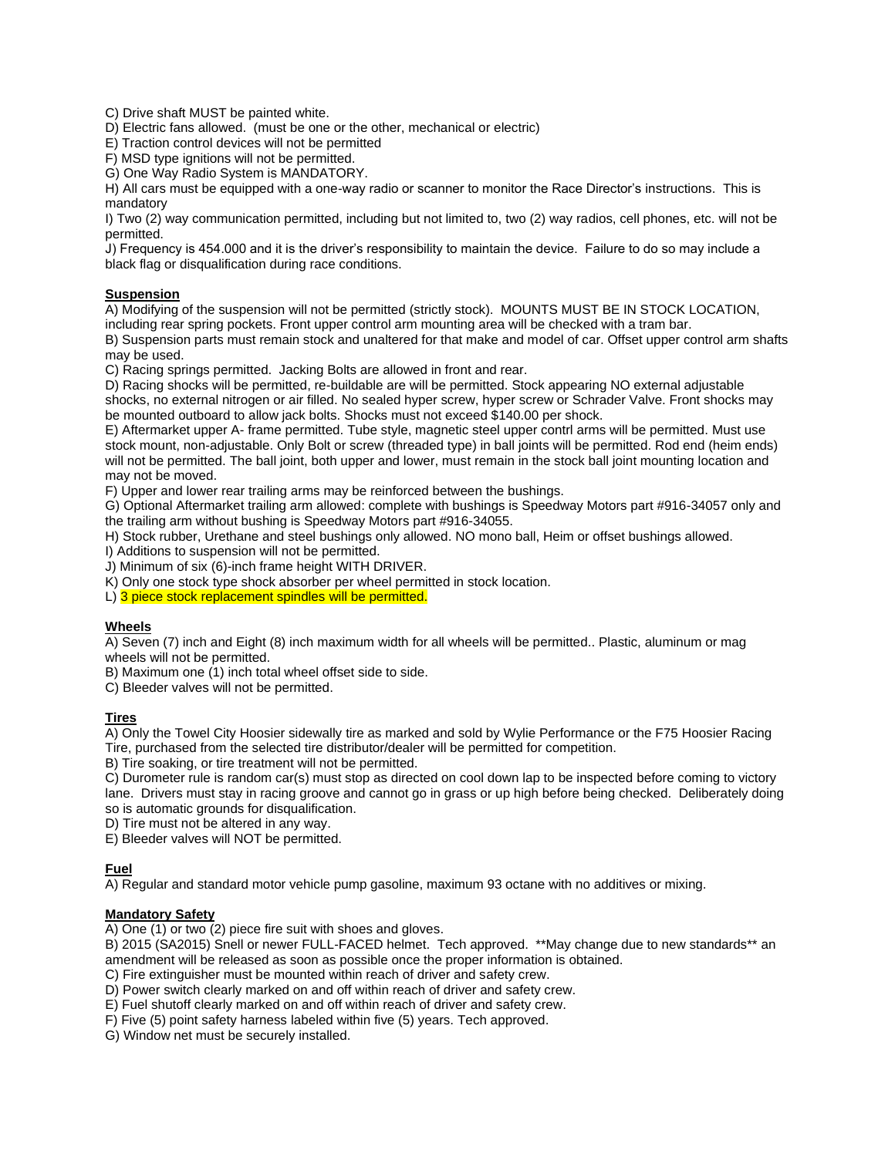C) Drive shaft MUST be painted white.

D) Electric fans allowed. (must be one or the other, mechanical or electric)

E) Traction control devices will not be permitted

F) MSD type ignitions will not be permitted.

G) One Way Radio System is MANDATORY.

H) All cars must be equipped with a one-way radio or scanner to monitor the Race Director's instructions. This is mandatory

I) Two (2) way communication permitted, including but not limited to, two (2) way radios, cell phones, etc. will not be permitted.

J) Frequency is 454.000 and it is the driver's responsibility to maintain the device. Failure to do so may include a black flag or disqualification during race conditions.

# **Suspension**

A) Modifying of the suspension will not be permitted (strictly stock). MOUNTS MUST BE IN STOCK LOCATION, including rear spring pockets. Front upper control arm mounting area will be checked with a tram bar.

B) Suspension parts must remain stock and unaltered for that make and model of car. Offset upper control arm shafts may be used.

C) Racing springs permitted. Jacking Bolts are allowed in front and rear.

D) Racing shocks will be permitted, re-buildable are will be permitted. Stock appearing NO external adjustable shocks, no external nitrogen or air filled. No sealed hyper screw, hyper screw or Schrader Valve. Front shocks may be mounted outboard to allow jack bolts. Shocks must not exceed \$140.00 per shock.

E) Aftermarket upper A- frame permitted. Tube style, magnetic steel upper contrl arms will be permitted. Must use stock mount, non-adjustable. Only Bolt or screw (threaded type) in ball joints will be permitted. Rod end (heim ends) will not be permitted. The ball joint, both upper and lower, must remain in the stock ball joint mounting location and may not be moved.

F) Upper and lower rear trailing arms may be reinforced between the bushings.

G) Optional Aftermarket trailing arm allowed: complete with bushings is Speedway Motors part #916-34057 only and the trailing arm without bushing is Speedway Motors part #916-34055.

H) Stock rubber, Urethane and steel bushings only allowed. NO mono ball, Heim or offset bushings allowed.

I) Additions to suspension will not be permitted.

J) Minimum of six (6)-inch frame height WITH DRIVER.

K) Only one stock type shock absorber per wheel permitted in stock location.

L) 3 piece stock replacement spindles will be permitted.

# **Wheels**

A) Seven (7) inch and Eight (8) inch maximum width for all wheels will be permitted.. Plastic, aluminum or mag wheels will not be permitted.

B) Maximum one (1) inch total wheel offset side to side.

C) Bleeder valves will not be permitted.

## **Tires**

A) Only the Towel City Hoosier sidewally tire as marked and sold by Wylie Performance or the F75 Hoosier Racing Tire, purchased from the selected tire distributor/dealer will be permitted for competition.

B) Tire soaking, or tire treatment will not be permitted.

C) Durometer rule is random car(s) must stop as directed on cool down lap to be inspected before coming to victory lane. Drivers must stay in racing groove and cannot go in grass or up high before being checked. Deliberately doing so is automatic grounds for disqualification.

D) Tire must not be altered in any way.

E) Bleeder valves will NOT be permitted.

# **Fuel**

A) Regular and standard motor vehicle pump gasoline, maximum 93 octane with no additives or mixing.

## **Mandatory Safety**

A) One (1) or two (2) piece fire suit with shoes and gloves.

B) 2015 (SA2015) Snell or newer FULL-FACED helmet. Tech approved. \*\*May change due to new standards\*\* an amendment will be released as soon as possible once the proper information is obtained.

C) Fire extinguisher must be mounted within reach of driver and safety crew.

D) Power switch clearly marked on and off within reach of driver and safety crew.

E) Fuel shutoff clearly marked on and off within reach of driver and safety crew.

F) Five (5) point safety harness labeled within five (5) years. Tech approved.

G) Window net must be securely installed.